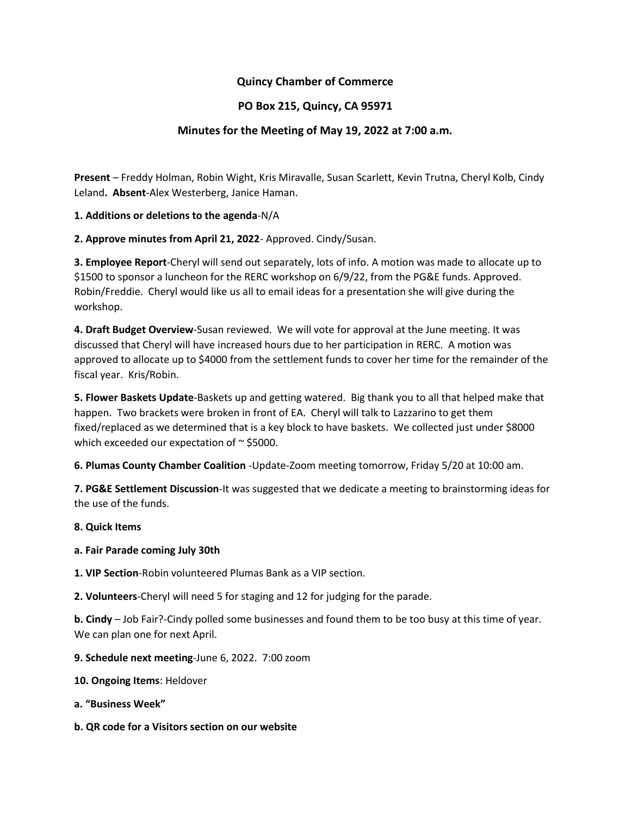## **Quincy Chamber of Commerce**

## **PO Box 215, Quincy, CA 95971**

## **Minutes for the Meeting of May 19, 2022 at 7:00 a.m.**

**Present** – Freddy Holman, Robin Wight, Kris Miravalle, Susan Scarlett, Kevin Trutna, Cheryl Kolb, Cindy Leland**. Absent**-Alex Westerberg, Janice Haman.

**1. Additions or deletions to the agenda**-N/A

**2. Approve minutes from April 21, 2022**- Approved. Cindy/Susan.

**3. Employee Report**-Cheryl will send out separately, lots of info. A motion was made to allocate up to \$1500 to sponsor a luncheon for the RERC workshop on 6/9/22, from the PG&E funds. Approved. Robin/Freddie. Cheryl would like us all to email ideas for a presentation she will give during the workshop.

**4. Draft Budget Overview**-Susan reviewed. We will vote for approval at the June meeting. It was discussed that Cheryl will have increased hours due to her participation in RERC. A motion was approved to allocate up to \$4000 from the settlement funds to cover her time for the remainder of the fiscal year. Kris/Robin.

**5. Flower Baskets Update**-Baskets up and getting watered. Big thank you to all that helped make that happen. Two brackets were broken in front of EA. Cheryl will talk to Lazzarino to get them fixed/replaced as we determined that is a key block to have baskets. We collected just under \$8000 which exceeded our expectation of  $\sim$  \$5000.

**6. Plumas County Chamber Coalition** -Update-Zoom meeting tomorrow, Friday 5/20 at 10:00 am.

**7. PG&E Settlement Discussion**-It was suggested that we dedicate a meeting to brainstorming ideas for the use of the funds.

**8. Quick Items**

- **a. Fair Parade coming July 30th**
- **1. VIP Section**-Robin volunteered Plumas Bank as a VIP section.
- **2. Volunteers**-Cheryl will need 5 for staging and 12 for judging for the parade.

**b. Cindy** – Job Fair?-Cindy polled some businesses and found them to be too busy at this time of year. We can plan one for next April.

- **9. Schedule next meeting**-June 6, 2022. 7:00 zoom
- **10. Ongoing Items**: Heldover
- **a. "Business Week"**
- **b. QR code for a Visitors section on our website**